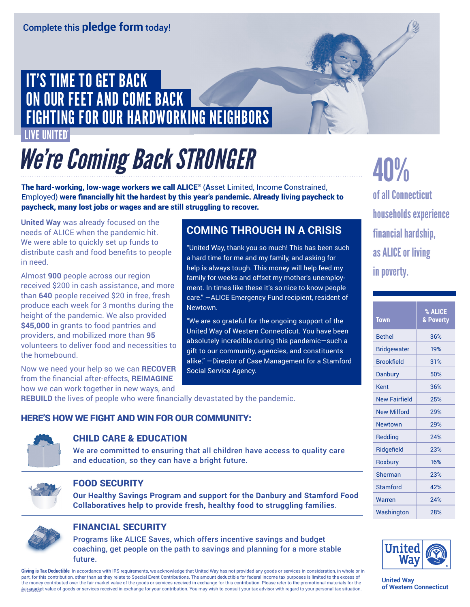## IT'S TIME TO GET BACK ON OUR FEET AND COME BACK FIGHTING FOR OUR HARDWORKING NEIGHBORS

#### IVE UNITED

# *We're Coming BackSTRONGER*

The hard-working, low-wage workers we call ALICE® (**A**sset **L**imited, **I**ncome **C**onstrained, **E**mployed) were financially hit the hardest by this year's pandemic. Already living paycheck to paycheck, many lost jobs or wages and are still struggling to recover.

**United Way** was already focused on the needs of ALICE when the pandemic hit. We were able to quickly set up funds to distribute cash and food benefits to people in need.

Almost **900** people across our region received \$200 in cash assistance, and more than **640** people received \$20 in free, fresh produce each week for 3 months during the height of the pandemic. We also provided **\$45,000** in grants to food pantries and providers, and mobilized more than **95** volunteers to deliver food and necessities to the homebound.

Now we need your help so we can **RECOVER** from the financial after-effects, **REIMAGINE** how we can work together in new ways, and

### **COMING THROUGH IN A CRISIS**

"United Way, thank you so much! This has been such a hard time for me and my family, and asking for help is always tough. This money will help feed my family for weeks and offset my mother's unemployment. In times like these it's so nice to know people care." —ALICE Emergency Fund recipient, resident of Newtown.

"We are so grateful for the ongoing support of the United Way of Western Connecticut. You have been absolutely incredible during this pandemic―such a gift to our community, agencies, and constituents alike." —Director of Case Management for a Stamford Social Service Agency.

**REBUILD** the lives of people who were financially devastated by the pandemic.

#### HERE'S HOW WE FIGHT AND WIN FOR OUR COMMUNITY:



#### CHILD CARE & EDUCATION

We are committed to ensuring that all children have access to quality care and education, so they can have a bright future.



#### FOOD SECURITY

**Our Healthy Savings Program and support for the Danbury and Stamford Food Collaboratives help to provide fresh, healthy food to struggling families**.



#### FINANCIAL SECURITY

Programs like ALICE Saves, which offers incentive savings and budget coaching, get people on the path to savings and planning for a more stable future.

Giving is Tax Deductible In accordance with IRS requirements, we acknowledge that United Way has not provided any goods or services in consideration, in whole or in part, for this contribution, other than as they relate to Special Event Contributions. The amount deductible for federal income tax purposes is limited to the excess of the money contributed over the fair market value of the goods or services received in exchange for this contribution. Please refer to the promotional materials for the fais market value of goods or services received in exchange for your contribution. You may wish to consult your tax advisor with regard to your personal tax situation.

40% of all Connecticut households experience financial hardship, as ALICE or living in poverty.

| <b>Town</b>          | % ALICE<br>& Poverty |  |
|----------------------|----------------------|--|
| <b>Bethel</b>        | 36%                  |  |
| <b>Bridgewater</b>   | 19%                  |  |
| <b>Brookfield</b>    | 31%                  |  |
| Danbury              | 50%                  |  |
| Kent                 | 36%                  |  |
| <b>New Fairfield</b> | 25%                  |  |
| <b>New Milford</b>   | 29%                  |  |
| Newtown              | 29%                  |  |
| Redding              | 24%                  |  |
| Ridgefield           | 23%                  |  |
| Roxbury              | 16%                  |  |
| Sherman              | 23%                  |  |
| Stamford             | 42%                  |  |
| Warren               | 24%                  |  |
| Washington           | 28%                  |  |



**United Way of Western Connecticut**